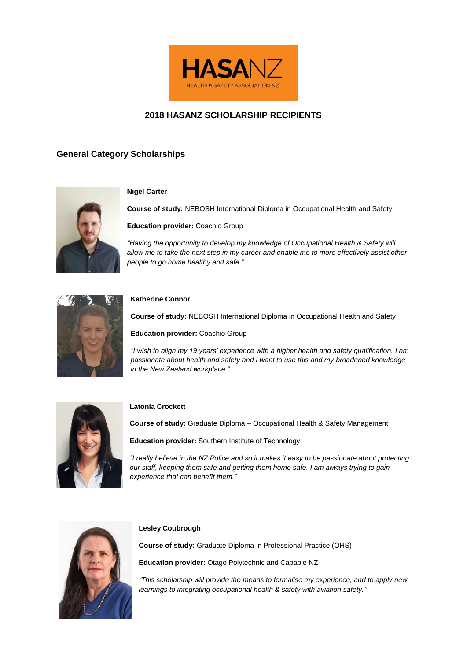

# **2018 HASANZ SCHOLARSHIP RECIPIENTS**

# **General Category Scholarships**



## **Nigel Carter**

**Course of study:** NEBOSH International Diploma in Occupational Health and Safety

**Education provider:** Coachio Group

*"Having the opportunity to develop my knowledge of Occupational Health & Safety will allow me to take the next step in my career and enable me to more effectively assist other people to go home healthy and safe."*



## **Katherine Connor**

**Course of study:** NEBOSH International Diploma in Occupational Health and Safety

**Education provider:** Coachio Group

*"I wish to align my 19 years' experience with a higher health and safety qualification. I am passionate about health and safety and I want to use this and my broadened knowledge in the New Zealand workplace."*



## **Latonia Crockett**

**Course of study:** Graduate Diploma – Occupational Health & Safety Management

**Education provider:** Southern Institute of Technology

*"I really believe in the NZ Police and so it makes it easy to be passionate about protecting our staff, keeping them safe and getting them home safe. I am always trying to gain experience that can benefit them."* 



## **Lesley Coubrough**

**Course of study:** Graduate Diploma in Professional Practice (OHS)

**Education provider:** Otago Polytechnic and Capable NZ

*"This scholarship will provide the means to formalise my experience, and to apply new learnings to integrating occupational health & safety with aviation safety."*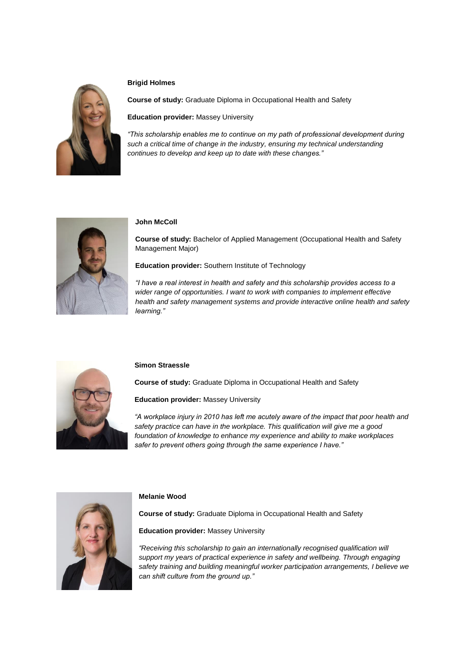

## **Brigid Holmes**

**Course of study:** Graduate Diploma in Occupational Health and Safety

**Education provider:** Massey University

*"This scholarship enables me to continue on my path of professional development during such a critical time of change in the industry, ensuring my technical understanding continues to develop and keep up to date with these changes."*



## **John McColl**

**Course of study:** Bachelor of Applied Management (Occupational Health and Safety Management Major)

**Education provider:** Southern Institute of Technology

*"I have a real interest in health and safety and this scholarship provides access to a wider range of opportunities. I want to work with companies to implement effective health and safety management systems and provide interactive online health and safety learning."*



## **Simon Straessle**

**Course of study:** Graduate Diploma in Occupational Health and Safety

**Education provider:** Massey University

*"A workplace injury in 2010 has left me acutely aware of the impact that poor health and safety practice can have in the workplace. This qualification will give me a good foundation of knowledge to enhance my experience and ability to make workplaces safer to prevent others going through the same experience I have."*



## **Melanie Wood**

**Course of study:** Graduate Diploma in Occupational Health and Safety

**Education provider:** Massey University

*"Receiving this scholarship to gain an internationally recognised qualification will support my years of practical experience in safety and wellbeing. Through engaging safety training and building meaningful worker participation arrangements, I believe we can shift culture from the ground up."*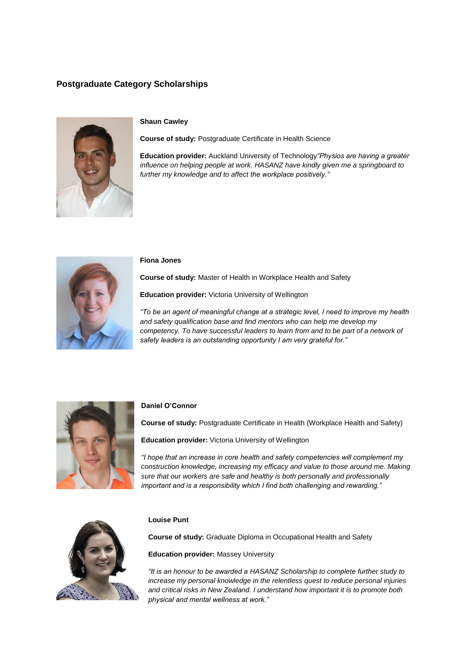# **Postgraduate Category Scholarships**



## **Shaun Cawley**

**Course of study:** Postgraduate Certificate in Health Science

**Education provider:** Auckland University of Technology*"Physios are having a greater influence on helping people at work. HASANZ have kindly given me a springboard to further my knowledge and to affect the workplace positively."*



#### **Fiona Jones**

**Course of study:** Master of Health in Workplace Health and Safety

**Education provider:** Victoria University of Wellington

*"To be an agent of meaningful change at a strategic level, I need to improve my health and safety qualification base and find mentors who can help me develop my competency. To have successful leaders to learn from and to be part of a network of safety leaders is an outstanding opportunity I am very grateful for."*



#### **Daniel O'Connor**

**Course of study:** Postgraduate Certificate in Health (Workplace Health and Safety)

**Education provider:** Victoria University of Wellington

*"I hope that an increase in core health and safety competencies will complement my construction knowledge, increasing my efficacy and value to those around me. Making sure that our workers are safe and healthy is both personally and professionally important and is a responsibility which I find both challenging and rewarding."*



## **Louise Punt**

**Course of study:** Graduate Diploma in Occupational Health and Safety

**Education provider:** Massey University

*"It is an honour to be awarded a HASANZ Scholarship to complete further study to increase my personal knowledge in the relentless quest to reduce personal injuries and critical risks in New Zealand. I understand how important it is to promote both physical and mental wellness at work."*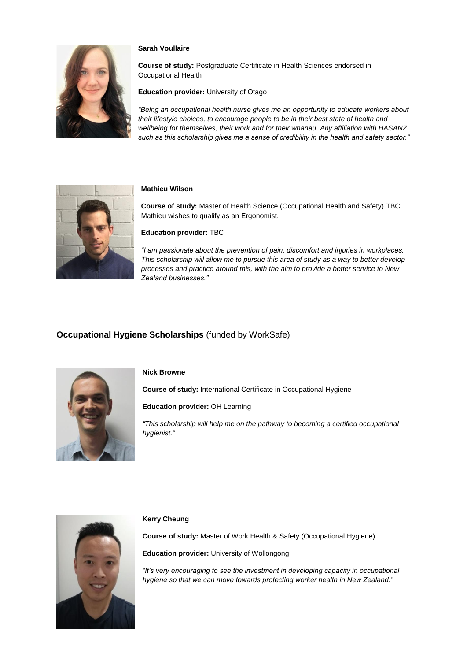

## **Sarah Voullaire**

**Course of study:** Postgraduate Certificate in Health Sciences endorsed in Occupational Health

**Education provider:** University of Otago

*"Being an occupational health nurse gives me an opportunity to educate workers about their lifestyle choices, to encourage people to be in their best state of health and wellbeing for themselves, their work and for their whanau. Any affiliation with HASANZ such as this scholarship gives me a sense of credibility in the health and safety sector."*



## **Mathieu Wilson**

**Course of study:** Master of Health Science (Occupational Health and Safety) TBC. Mathieu wishes to qualify as an Ergonomist.

### **Education provider:** TBC

*"I am passionate about the prevention of pain, discomfort and injuries in workplaces. This scholarship will allow me to pursue this area of study as a way to better develop processes and practice around this, with the aim to provide a better service to New Zealand businesses."*

## **Occupational Hygiene Scholarships** (funded by WorkSafe)



#### **Nick Browne**

**Course of study:** International Certificate in Occupational Hygiene

**Education provider:** OH Learning

*"This scholarship will help me on the pathway to becoming a certified occupational hygienist."*



## **Kerry Cheung**

**Course of study:** Master of Work Health & Safety (Occupational Hygiene)

**Education provider:** University of Wollongong

*"It's very encouraging to see the investment in developing capacity in occupational hygiene so that we can move towards protecting worker health in New Zealand."*